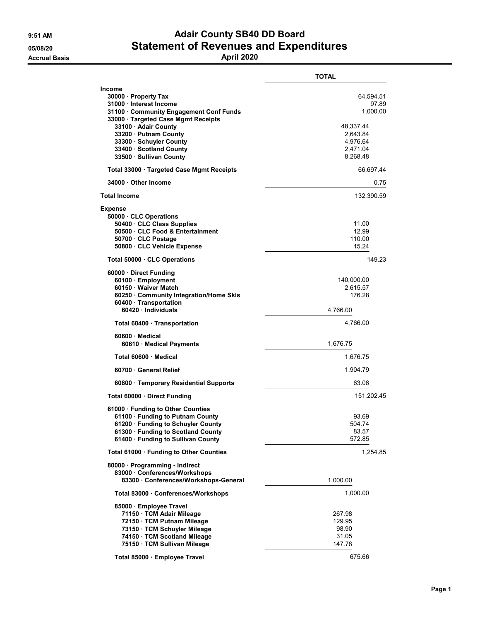## 9:51 AM **Adair County SB40 DD Board** 05/08/20 Statement of Revenues and Expenditures

|                                                                                                                                                                                                                                                                              | <b>TOTAL</b>                                                                                |
|------------------------------------------------------------------------------------------------------------------------------------------------------------------------------------------------------------------------------------------------------------------------------|---------------------------------------------------------------------------------------------|
| <b>Income</b><br>30000 · Property Tax<br>31000 Interest Income<br>31100 Community Engagement Conf Funds<br>33000 Targeted Case Mgmt Receipts<br>33100 · Adair County<br>33200 Putnam County<br>33300 · Schuyler County<br>33400 · Scotland County<br>33500 · Sullivan County | 64,594.51<br>97.89<br>1,000.00<br>48,337.44<br>2,643.84<br>4,976.64<br>2,471.04<br>8,268.48 |
| Total 33000 Targeted Case Mgmt Receipts                                                                                                                                                                                                                                      | 66,697.44                                                                                   |
| 34000 Other Income                                                                                                                                                                                                                                                           | 0.75                                                                                        |
| <b>Total Income</b>                                                                                                                                                                                                                                                          | 132,390.59                                                                                  |
| <b>Expense</b><br>50000 CLC Operations<br>50400 · CLC Class Supplies<br>50500 CLC Food & Entertainment<br>50700 · CLC Postage<br>50800 CLC Vehicle Expense                                                                                                                   | 11.00<br>12.99<br>110.00<br>15.24                                                           |
| Total 50000 CLC Operations                                                                                                                                                                                                                                                   | 149.23                                                                                      |
| 60000 Direct Funding<br>60100 · Employment<br>60150 · Waiver Match<br>60250 · Community Integration/Home Skls<br>60400 · Transportation<br>60420 Individuals                                                                                                                 | 140,000.00<br>2,615.57<br>176.28<br>4,766.00                                                |
| Total 60400 · Transportation                                                                                                                                                                                                                                                 | 4,766.00                                                                                    |
| 60600 Medical<br>60610 Medical Payments                                                                                                                                                                                                                                      | 1,676.75                                                                                    |
| Total 60600 Medical                                                                                                                                                                                                                                                          | 1,676.75                                                                                    |
| 60700 General Relief                                                                                                                                                                                                                                                         | 1,904.79                                                                                    |
| 60800 · Temporary Residential Supports                                                                                                                                                                                                                                       | 63.06                                                                                       |
| Total 60000 · Direct Funding                                                                                                                                                                                                                                                 | 151,202.45                                                                                  |
| 61000 · Funding to Other Counties<br>61100 Funding to Putnam County<br>61200 · Funding to Schuyler County<br>61300 · Funding to Scotland County<br>61400 · Funding to Sullivan County                                                                                        | 93.69<br>504.74<br>83.57<br>572.85                                                          |
| Total 61000 · Funding to Other Counties                                                                                                                                                                                                                                      | 1,254.85                                                                                    |
| 80000 · Programming - Indirect<br>83000 Conferences/Workshops<br>83300 Conferences/Workshops-General                                                                                                                                                                         | 1,000.00                                                                                    |
| Total 83000 · Conferences/Workshops                                                                                                                                                                                                                                          | 1,000.00                                                                                    |
| 85000 · Employee Travel<br>71150 · TCM Adair Mileage<br>72150 · TCM Putnam Mileage<br>73150 · TCM Schuyler Mileage<br>74150 · TCM Scotland Mileage<br>75150 · TCM Sullivan Mileage                                                                                           | 267.98<br>129.95<br>98.90<br>31.05<br>147.78                                                |
| Total 85000 · Employee Travel                                                                                                                                                                                                                                                | 675.66                                                                                      |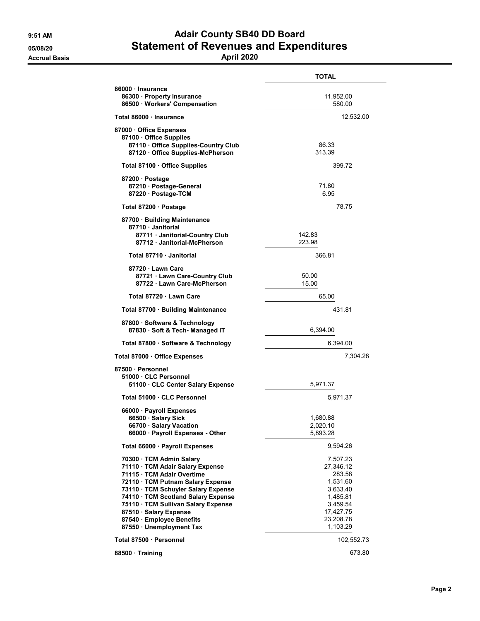## 9:51 AM **Adair County SB40 DD Board** 05/08/20 Statement of Revenues and Expenditures

## Accrual Basis April 2020

|                                                                                                                                                                                                                                                                                                                                         | <b>TOTAL</b>                                                                                                          |
|-----------------------------------------------------------------------------------------------------------------------------------------------------------------------------------------------------------------------------------------------------------------------------------------------------------------------------------------|-----------------------------------------------------------------------------------------------------------------------|
| 86000 Insurance                                                                                                                                                                                                                                                                                                                         |                                                                                                                       |
| 86300 Property Insurance<br>86500 Workers' Compensation                                                                                                                                                                                                                                                                                 | 11,952.00<br>580.00                                                                                                   |
| Total 86000 · Insurance                                                                                                                                                                                                                                                                                                                 | 12,532.00                                                                                                             |
| 87000 Office Expenses<br>87100 · Office Supplies<br>87110 · Office Supplies-Country Club<br>87120 Office Supplies-McPherson                                                                                                                                                                                                             | 86.33<br>313.39                                                                                                       |
| Total 87100 · Office Supplies                                                                                                                                                                                                                                                                                                           | 399.72                                                                                                                |
| 87200 · Postage<br>87210 · Postage-General<br>87220 · Postage-TCM                                                                                                                                                                                                                                                                       | 71.80<br>6.95                                                                                                         |
| Total 87200 · Postage                                                                                                                                                                                                                                                                                                                   | 78.75                                                                                                                 |
| 87700 · Building Maintenance<br>87710 · Janitorial<br>87711 Janitorial-Country Club<br>87712 Janitorial-McPherson                                                                                                                                                                                                                       | 142.83<br>223.98                                                                                                      |
| Total 87710 · Janitorial                                                                                                                                                                                                                                                                                                                | 366.81                                                                                                                |
| 87720 · Lawn Care<br>87721 · Lawn Care-Country Club<br>87722 · Lawn Care-McPherson                                                                                                                                                                                                                                                      | 50.00<br>15.00                                                                                                        |
| Total 87720 · Lawn Care                                                                                                                                                                                                                                                                                                                 | 65.00                                                                                                                 |
| Total 87700 · Building Maintenance                                                                                                                                                                                                                                                                                                      | 431.81                                                                                                                |
| 87800 · Software & Technology<br>87830 Soft & Tech-Managed IT                                                                                                                                                                                                                                                                           | 6,394.00                                                                                                              |
| Total 87800 · Software & Technology                                                                                                                                                                                                                                                                                                     | 6,394.00                                                                                                              |
| Total 87000 · Office Expenses                                                                                                                                                                                                                                                                                                           | 7,304.28                                                                                                              |
| 87500 · Personnel<br>51000 CLC Personnel<br>51100 CLC Center Salary Expense                                                                                                                                                                                                                                                             | 5,971.37                                                                                                              |
| Total 51000 . CLC Personnel                                                                                                                                                                                                                                                                                                             | 5,971.37                                                                                                              |
| 66000 · Payroll Expenses<br>66500 · Salary Sick<br>66700 · Salary Vacation<br>66000 · Payroll Expenses - Other                                                                                                                                                                                                                          | 1,680.88<br>2,020.10<br>5,893.28                                                                                      |
| Total 66000 · Payroll Expenses                                                                                                                                                                                                                                                                                                          | 9,594.26                                                                                                              |
| 70300 · TCM Admin Salary<br>71110 · TCM Adair Salary Expense<br>71115 · TCM Adair Overtime<br>72110 · TCM Putnam Salary Expense<br>73110 · TCM Schuyler Salary Expense<br>74110 · TCM Scotland Salary Expense<br>75110 · TCM Sullivan Salary Expense<br>87510 · Salary Expense<br>87540 · Employee Benefits<br>87550 · Unemployment Tax | 7,507.23<br>27,346.12<br>283.58<br>1,531.60<br>3,633.40<br>1,485.81<br>3,459.54<br>17,427.75<br>23,208.78<br>1,103.29 |
| Total 87500 · Personnel                                                                                                                                                                                                                                                                                                                 | 102,552.73                                                                                                            |
| 88500 Training                                                                                                                                                                                                                                                                                                                          | 673.80                                                                                                                |